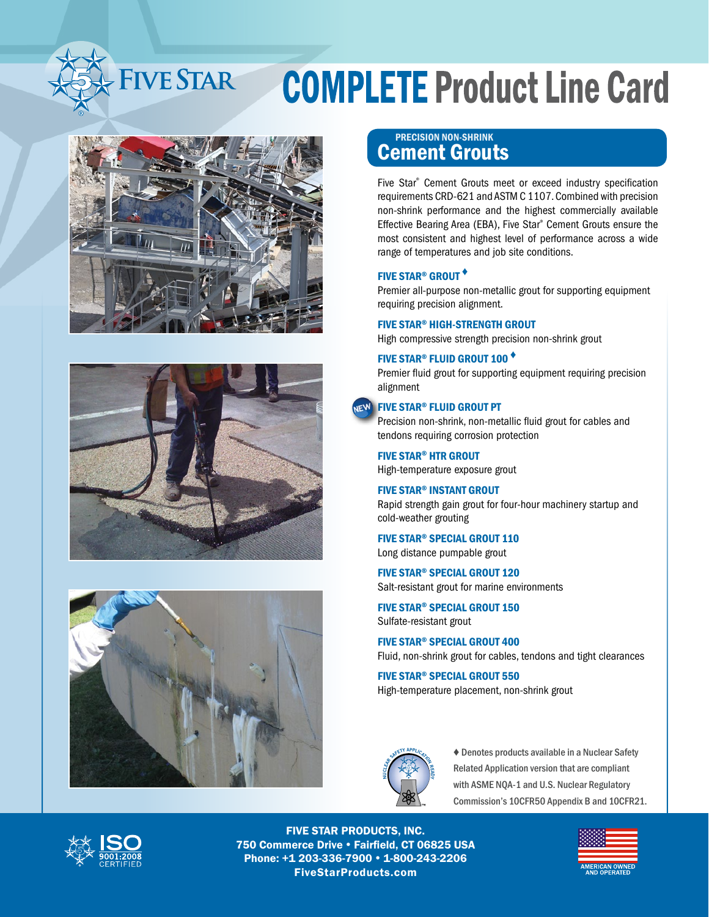







### Cement Grouts PRECISION NON-SHRINK

Five Star® Cement Grouts meet or exceed industry specification requirements CRD-621 and ASTM C 1107. Combined with precision non-shrink performance and the highest commercially available Effective Bearing Area (EBA), Five Star® Cement Grouts ensure the most consistent and highest level of performance across a wide range of temperatures and job site conditions.

#### FIVE STAR® GROUT ♦

Premier all-purpose non-metallic grout for supporting equipment requiring precision alignment.

#### FIVE STAR® HIGH-STRENGTH GROUT

High compressive strength precision non-shrink grout

#### FIVE STAR® FLUID GROUT 100 ♦

Premier fluid grout for supporting equipment requiring precision alignment

#### NEW FIVE STAR® FLUID GROUT PT

Precision non-shrink, non-metallic fluid grout for cables and tendons requiring corrosion protection

FIVE STAR® HTR GROUT High-temperature exposure grout

#### FIVE STAR® INSTANT GROUT

Rapid strength gain grout for four-hour machinery startup and cold-weather grouting

FIVE STAR® SPECIAL GROUT 110 Long distance pumpable grout

FIVE STAR® SPECIAL GROUT 120

Salt-resistant grout for marine environments

FIVE STAR® SPECIAL GROUT 150 Sulfate-resistant grout

FIVE STAR® SPECIAL GROUT 400 Fluid, non-shrink grout for cables, tendons and tight clearances

FIVE STAR® SPECIAL GROUT 550 High-temperature placement, non-shrink grout



♦ Denotes products available in a Nuclear Safety Related Application version that are compliant with ASME NQA-1 and U.S. Nuclear Regulatory Commission's 10CFR50 Appendix B and 10CFR21.



FIVE STAR PRODUCTS, INC. 750 Commerce Drive . Fairfield, CT 06825 USA Phone: +1 203-336-7900 • 1-800-243-2206 FiveStarProducts.com

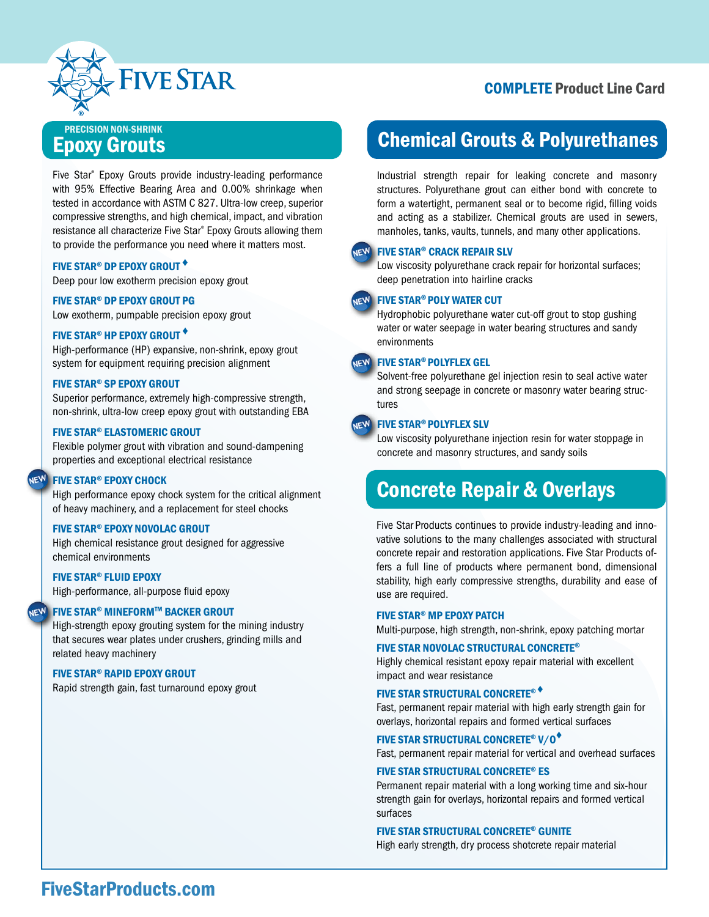

### Epoxy Grouts PRECISION NON-SHRINK

Five Star® Epoxy Grouts provide industry-leading performance with 95% Effective Bearing Area and 0.00% shrinkage when tested in accordance with ASTM C 827. Ultra-low creep, superior compressive strengths, and high chemical, impact, and vibration resistance all characterize Five Star® Epoxy Grouts allowing them to provide the performance you need where it matters most.

#### FIVE STAR® DP EPOXY GROUT ♦

Deep pour low exotherm precision epoxy grout

#### FIVE STAR® DP EPOXY GROUT PG

Low exotherm, pumpable precision epoxy grout

#### FIVE STAR® HP EPOXY GROUT ♦

High-performance (HP) expansive, non-shrink, epoxy grout system for equipment requiring precision alignment

#### FIVE STAR® SP EPOXY GROUT

Superior performance, extremely high-compressive strength, non-shrink, ultra-low creep epoxy grout with outstanding EBA

#### FIVE STAR® ELASTOMERIC GROUT

Flexible polymer grout with vibration and sound-dampening properties and exceptional electrical resistance

#### NEW FIVE STAR® EPOXY CHOCK

High performance epoxy chock system for the critical alignment of heavy machinery, and a replacement for steel chocks

#### FIVE STAR® EPOXY NOVOLAC GROUT

High chemical resistance grout designed for aggressive chemical environments

#### FIVE STAR® FLUID EPOXY

High-performance, all-purpose fluid epoxy

#### NEW FIVE STAR® MINEFORM™ BACKER GROUT

High-strength epoxy grouting system for the mining industry that secures wear plates under crushers, grinding mills and related heavy machinery

#### FIVE STAR® RAPID EPOXY GROUT

Rapid strength gain, fast turnaround epoxy grout

# Chemical Grouts & Polyurethanes

Industrial strength repair for leaking concrete and masonry structures. Polyurethane grout can either bond with concrete to form a watertight, permanent seal or to become rigid, filling voids and acting as a stabilizer. Chemical grouts are used in sewers, manholes, tanks, vaults, tunnels, and many other applications.

#### **JEW FIVE STAR<sup>®</sup> CRACK REPAIR SLV**

Low viscosity polyurethane crack repair for horizontal surfaces; deep penetration into hairline cracks

#### **JEW FIVE STAR<sup>®</sup> POLY WATER CUT**

Hydrophobic polyurethane water cut-off grout to stop gushing water or water seepage in water bearing structures and sandy environments

#### **JEW FIVE STAR<sup>®</sup> POLYFLEX GEL**

Solvent-free polyurethane gel injection resin to seal active water and strong seepage in concrete or masonry water bearing structures

#### **JEW FIVE STAR<sup>®</sup> POLYFLEX SLV**

Low viscosity polyurethane injection resin for water stoppage in concrete and masonry structures, and sandy soils

# Concrete Repair & Overlays

Five Star Products continues to provide industry-leading and innovative solutions to the many challenges associated with structural concrete repair and restoration applications. Five Star Products offers a full line of products where permanent bond, dimensional stability, high early compressive strengths, durability and ease of use are required.

#### FIVE STAR® MP EPOXY PATCH

Multi-purpose, high strength, non-shrink, epoxy patching mortar

#### FIVE STAR NOVOLAC STRUCTURAL CONCRETE®

Highly chemical resistant epoxy repair material with excellent impact and wear resistance

#### FIVE STAR STRUCTURAL CONCRETE® ♦

Fast, permanent repair material with high early strength gain for overlays, horizontal repairs and formed vertical surfaces

#### FIVE STAR STRUCTURAL CONCRETE® V/O♦

Fast, permanent repair material for vertical and overhead surfaces

#### FIVE STAR STRUCTURAL CONCRETE® ES

Permanent repair material with a long working time and six-hour strength gain for overlays, horizontal repairs and formed vertical surfaces

#### FIVE STAR STRUCTURAL CONCRETE® GUNITE

High early strength, dry process shotcrete repair material

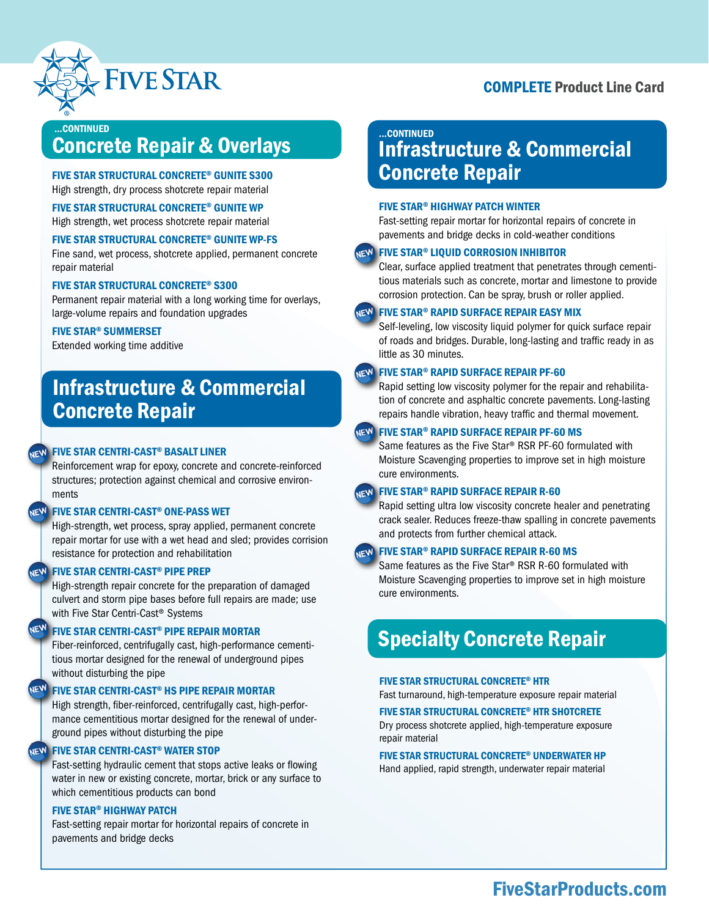

#### .CONTINUED

# Concrete Repair & Overlays

#### FIVE STAR STRUCTURAL CONCRETE® GUNITE S300 High strength, dry process shotcrete repair material

#### FIVE STAR STRUCTURAL CONCRETE® GUNITE WP

High strength, wet process shotcrete repair material

#### FIVE STAR STRUCTURAL CONCRETE® GUNITE WP-FS

Fine sand, wet process, shotcrete applied, permanent concrete repair material

#### FIVE STAR STRUCTURAL CONCRETE® S300

Permanent repair material with a long working time for overlays, large-volume repairs and foundation upgrades

#### FIVE STAR® SUMMERSET

Extended working time additive

# Infrastructure & Commercial Concrete Repair

#### **NEW FIVE STAR CENTRI-CAST® BASALT LINER**

Reinforcement wrap for epoxy, concrete and concrete-reinforced structures; protection against chemical and corrosive environments

#### NEW FIVE STAR CENTRI-CAST<sup>®</sup> ONE-PASS WET

High-strength, wet process, spray applied, permanent concrete repair mortar for use with a wet head and sled; provides corrision resistance for protection and rehabilitation

#### **NEW FIVE STAR CENTRI-CAST® PIPE PREP**

High-strength repair concrete for the preparation of damaged culvert and storm pipe bases before full repairs are made; use with Five Star Centri-Cast® Systems

### NE<sup>W</sup> FIVE STAR CENTRI-CAST® PIPE REPAIR MORTAR

Fiber-reinforced, centrifugally cast, high-performance cementitious mortar designed for the renewal of underground pipes without disturbing the pipe

#### **NEW FIVE STAR CENTRI-CAST® HS PIPE REPAIR MORTAR**

High strength, fiber-reinforced, centrifugally cast, high-performance cementitious mortar designed for the renewal of underground pipes without disturbing the pipe

#### **NEW FIVE STAR CENTRI-CAST<sup>®</sup> WATER STOP**

Fast-setting hydraulic cement that stops active leaks or flowing water in new or existing concrete, mortar, brick or any surface to which cementitious products can bond

#### FIVE STAR® HIGHWAY PATCH

Fast-setting repair mortar for horizontal repairs of concrete in pavements and bridge decks

### Infrastructure & Commercial Concrete Repair ...CONTINUED

#### FIVE STAR® HIGHWAY PATCH WINTER

Fast-setting repair mortar for horizontal repairs of concrete in pavements and bridge decks in cold-weather conditions

#### **NEW FIVE STAR® LIQUID CORROSION INHIBITOR**

Clear, surface applied treatment that penetrates through cementitious materials such as concrete, mortar and limestone to provide corrosion protection. Can be spray, brush or roller applied.

#### **JEW FIVE STAR® RAPID SURFACE REPAIR EASY MIX**

Self-leveling, low viscosity liquid polymer for quick surface repair of roads and bridges. Durable, long-lasting and traffic ready in as little as 30 minutes.

#### **JEW FIVE STAR® RAPID SURFACE REPAIR PF-60**

Rapid setting low viscosity polymer for the repair and rehabilitation of concrete and asphaltic concrete pavements. Long-lasting repairs handle vibration, heavy traffic and thermal movement.

#### **NEW FIVE STAR<sup>®</sup> RAPID SURFACE REPAIR PF-60 MS**

Same features as the Five Star® RSR PF-60 formulated with Moisture Scavenging properties to improve set in high moisture cure environments.

#### **NEW FIVE STAR® RAPID SURFACE REPAIR R-60**

Rapid setting ultra low viscosity concrete healer and penetrating crack sealer. Reduces freeze-thaw spalling in concrete pavements and protects from further chemical attack.

#### **NEW FIVE STAR<sup>®</sup> RAPID SURFACE REPAIR R-60 MS**

Same features as the Five Star® RSR R-60 formulated with Moisture Scavenging properties to improve set in high moisture cure environments.

# Specialty Concrete Repair

#### FIVE STAR STRUCTURAL CONCRETE® HTR

Fast turnaround, high-temperature exposure repair material

#### FIVE STAR STRUCTURAL CONCRETE® HTR SHOTCRETE

Dry process shotcrete applied, high-temperature exposure repair material

### FIVE STAR STRUCTURAL CONCRETE® UNDERWATER HP

Hand applied, rapid strength, underwater repair material

### FiveStarProducts.com